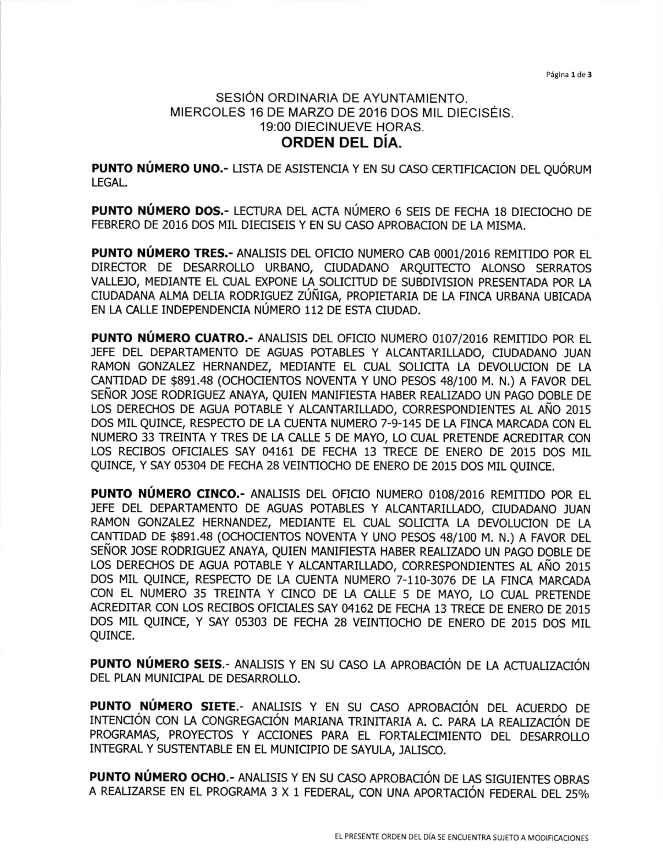Página 1 de 3

## SESIÓN ORDINARIA DE AYUNTAMIENTO. MIERCOLES 16 DE MARZO DE 2016 DOS MIL DIECISÉIS. 19:00 DIECINUEVE HORAS. ORDEN DEL DÍA.

PUNTO NÚMERO UNO.- LISTA DE ASISTENCIA Y EN SU CASO CERTIFICACION DEL QUÓRUM LEGAL.

**PUNTO NÚMERO DOS.-** LECTURA DEL ACTA NÚMERO 6 SEIS DE FECHA 18 DIECIOCHO DE FEBRERO DE 2016 DOS MIL DIECISEIS Y EN SU CASO APROBACION DE LA MISMA.

PUNTO NÚMERO TRES .- ANALISIS DEL OFICIO NUMERO CAB 0001/2016 REMITIDO POR EL DIRECTOR DE DESARROLLO URBANO, CIUDADANO ARQUITECTO ALONSO SERRATOS VALLEJO, MEDIANTE EL CUAL EXPONE LA SOLICITUD DE SUBDIVISION PRESENTADA POR LA CIUDADANA ALMA DELIA RODRIGUEZ ZÚÑIGA, PROPIETARIA DE LA FINCA URBANA UBICADA EN LA CALLE INDEPENDENCIA NÚMERO 112 DE ESTA CIUDAD.

PUNTO NÚMERO CUATRO .- ANALISIS DEL OFICIO NUMERO 0107/2016 REMITIDO POR EL JEFE DEL DEPARTAMENTO DE AGUAS POTABLES Y ALCANTARILLADO, CIUDADANO JUAN RAMON GONZALEZ HERNANDEZ, MEDIANTE EL CUAL SOLICITA LA DEVOLUCION DE LA CANTIDAD DE \$891.48 (OCHOCIENTOS NOVENTA Y UNO PESOS 48/100 M. N.) A FAVOR DEL SEÑOR JOSE RODRIGUEZ ANAYA, OUIEN MANIFIESTA HABER REALIZADO UN PAGO DOBLE DE LOS DERECHOS DE AGUA POTABLE Y ALCANTARILLADO, CORRESPONDIENTES AL AÑO 2015 DOS MIL QUINCE, RESPECTO DE LA CUENTA NUMERO 7-9-145 DE LA FINCA MARCADA CON EL NUMERO 33 TREINTA Y TRES DE LA CALLE 5 DE MAYO, LO CUAL PRETENDE ACREDITAR CON LOS RECIBOS OFICIALES SAY 04161 DE FECHA 13 TRECE DE ENERO DE 2015 DOS MIL OUINCE, Y SAY 05304 DE FECHA 28 VEINTIOCHO DE ENERO DE 2015 DOS MIL QUINCE.

PUNTO NÚMERO CINCO .- ANALISIS DEL OFICIO NUMERO 0108/2016 REMITIDO POR EL JEFE DEL DEPARTAMENTO DE AGUAS POTABLES Y ALCANTARILLADO, CIUDADANO JUAN RAMON GONZALEZ HERNANDEZ, MEDIANTE EL CUAL SOLICITA LA DEVOLUCION DE LA CANTIDAD DE \$891.48 (OCHOCIENTOS NOVENTA Y UNO PESOS 48/100 M. N.) A FAVOR DEL SEÑOR JOSE RODRIGUEZ ANAYA, QUIEN MANIFIESTA HABER REALIZADO UN PAGO DOBLE DE LOS DERECHOS DE AGUA POTABLE Y ALCANTARILLADO, CORRESPONDIENTES AL AÑO 2015 DOS MIL QUINCE, RESPECTO DE LA CUENTA NUMERO 7-110-3076 DE LA FINCA MARCADA CON EL NUMERO 35 TREINTA Y CINCO DE LA CALLE 5 DE MAYO, LO CUAL PRETENDE ACREDITAR CON LOS RECIBOS OFICIALES SAY 04162 DE FECHA 13 TRECE DE ENERO DE 2015 DOS MIL QUINCE, Y SAY 05303 DE FECHA 28 VEINTIOCHO DE ENERO DE 2015 DOS MIL QUINCE.

PUNTO NÚMERO SEIS.- ANALISIS Y EN SU CASO LA APROBACIÓN DE LA ACTUALIZACIÓN DEL PLAN MUNICIPAL DE DESARROLLO.

PUNTO NÚMERO SIETE.- ANALISIS Y EN SU CASO APROBACIÓN DEL ACUERDO DE INTENCIÓN CON LA CONGREGACIÓN MARIANA TRINITARIA A. C. PARA LA REALIZACIÓN DE PROGRAMAS, PROYECTOS Y ACCIONES PARA EL FORTALECIMIENTO DEL DESARROLLO INTEGRAL Y SUSTENTABLE EN EL MUNICIPIO DE SAYULA, JALISCO.

PUNTO NÚMERO OCHO.- ANALISIS Y EN SU CASO APROBACIÓN DE LAS SIGUIENTES OBRAS A REALIZARSE EN EL PROGRAMA 3 X 1 FEDERAL, CON UNA APORTACIÓN FEDERAL DEL 25%